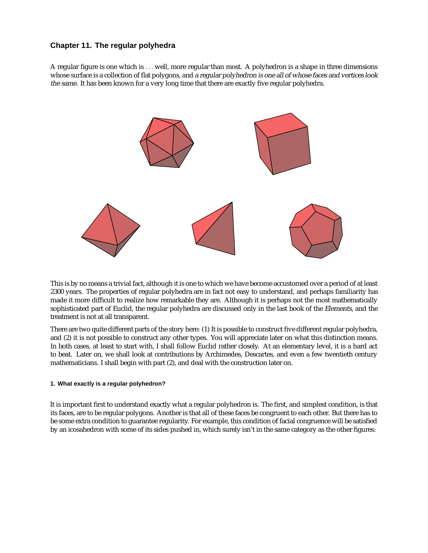# **Chapter 11. The regular polyhedra**

A regular figure is one which is ... well, more regular than most. A polyhedron is a shape in three dimensions whose surface is a collection of flat polygons, and <sup>a</sup> regular polyhedron is one all of whose faces and vertices look the same. It has been known for a very long time that there are exactly five regular polyhedra.



This is by no means a trivial fact, although it is one to which we have become accustomed over a period of at least 2300 years. The properties of regular polyhedra are in fact not easy to understand, and perhaps familiarity has made it more difficult to realize how remarkable they are. Although it is perhaps not the most mathematically sophisticated part of Euclid, the regular polyhedra are discussed only in the last book of the Elements, and the treatment is not at all transparent.

There are two quite different parts of the story here: (1) It is possible to construct five different regular polyhedra, and (2) it is not possible to construct any other types. You will appreciate later on what this distinction means. In both cases, at least to start with, I shall follow Euclid rather closely. At an elementary level, it is a hard act to beat. Later on, we shall look at contributions by Archimedes, Descartes, and even a few twentieth century mathematicians. I shall begin with part (2), and deal with the construction later on.

# **1. What exactly is a regular polyhedron?**

It is important first to understand exactly what a regular polyhedron is. The first, and simplest condition, is that its faces, are to be regular polygons. Another is that all of these faces be congruent to each other. But there has to be some extra condition to guarantee regularity. For example, this condition of facial congruence will be satisfied by an icosahedron with some of its sides pushed in, which surely isn't in the same category as the other figures: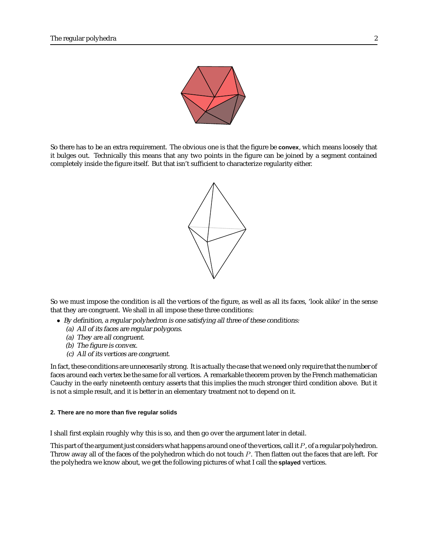

So there has to be an extra requirement. The obvious one is that the figure be **convex**, which means loosely that it bulges out. Technically this means that any two points in the figure can be joined by a segment contained completely inside the figure itself. But that isn't sufficient to characterize regularity either.



So we must impose the condition is all the vertices of the figure, as well as all its faces, 'look alike' in the sense that they are congruent. We shall in all impose these three conditions:

- By definition, <sup>a</sup> regular polyhedron is one satisfying all three of these conditions:
	- (a) All of its faces are regular polygons.
	- (a) They are all congruent.
	- (b) The figure is convex.
	- (c) All of its vertices are congruent.

In fact, these conditions are unnecesarily strong. It is actually the case that we need only require that the number of faces around each vertex be the same for all vertices. A remarkable theorem proven by the French mathematician Cauchy in the early nineteenth century asserts that this implies the much stronger third condition above. But it is not a simple result, and it is better in an elementary treatment not to depend on it.

#### **2. There are no more than five regular solids**

I shall first explain roughly why this is so, and then go over the argument later in detail.

This part of the argument just considers what happens around one of the vertices, call it  $P$ , of a regular polyhedron. Throw away all of the faces of the polyhedron which do not touch P. Then flatten out the faces that are left. For the polyhedra we know about, we get the following pictures of what I call the **splayed** vertices.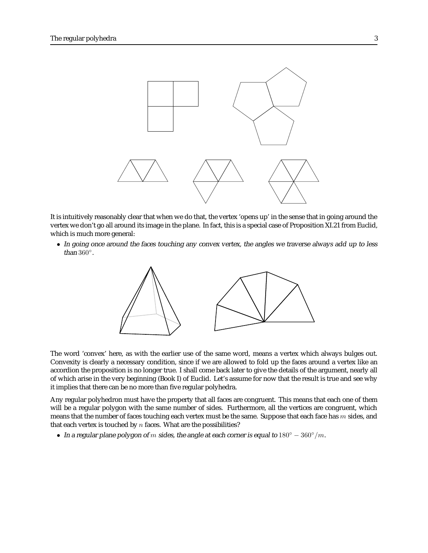

It is intuitively reasonably clear that when we do that, the vertex 'opens up' in the sense that in going around the vertex we don't go all around its image in the plane. In fact, this is a special case of Proposition XI.21 from Euclid, which is much more general:

• In going once around the faces touching any convex vertex, the angles we traverse always add up to less than 360◦.



The word 'convex' here, as with the earlier use of the same word, means a vertex which always bulges out. Convexity is clearly a necessary condition, since if we are allowed to fold up the faces around a vertex like an accordion the proposition is no longer true. I shall come back later to give the details of the argument, nearly all of which arise in the very beginning (Book I) of Euclid. Let's assume for now that the result is true and see why it implies that there can be no more than five regular polyhedra.

Any regular polyhedron must have the property that all faces are congruent. This means that each one of them will be a regular polygon with the same number of sides. Furthermore, all the vertices are congruent, which means that the number of faces touching each vertex must be the same. Suppose that each face has  $m$  sides, and that each vertex is touched by  $n$  faces. What are the possibilities?

• In a regular plane polygon of m sides, the angle at each corner is equal to  $180° - 360°/m$ .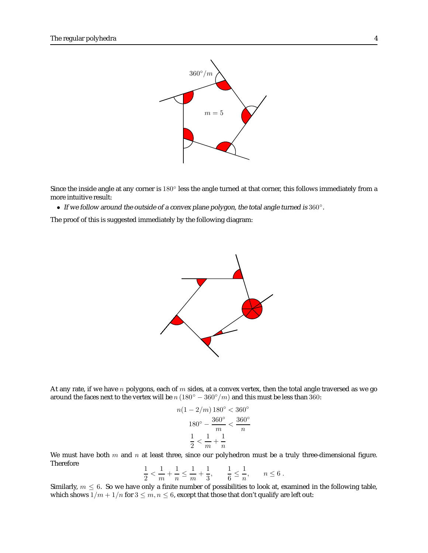

Since the inside angle at any corner is 180 $\degree$  less the angle turned at that corner, this follows immediately from a more intuitive result:

• If we follow around the outside of a convex plane polygon, the total angle turned is 360°.

The proof of this is suggested immediately by the following diagram:



At any rate, if we have n polygons, each of m sides, at a convex vertex, then the total angle traversed as we go around the faces next to the vertex will be  $n(180° - 360°/m)$  and this must be less than 360:

$$
n(1 - 2/m) 180^{\circ} < 360^{\circ}
$$
\n
$$
180^{\circ} - \frac{360^{\circ}}{m} < \frac{360^{\circ}}{n}
$$
\n
$$
\frac{1}{2} < \frac{1}{m} + \frac{1}{n}
$$

We must have both  $m$  and  $n$  at least three, since our polyhedron must be a truly three-dimensional figure. Therefore  $\sim$  1.1 1

$$
\frac{1}{2} < \frac{1}{m} + \frac{1}{n} \le \frac{1}{m} + \frac{1}{3}, \qquad \frac{1}{6} \le \frac{1}{n}, \qquad n \le 6.
$$

Similarly,  $m \leq 6$ . So we have only a finite number of possibilities to look at, examined in the following table, which shows  $1/m + 1/n$  for  $3 \le m, n \le 6$ , except that those that don't qualify are left out: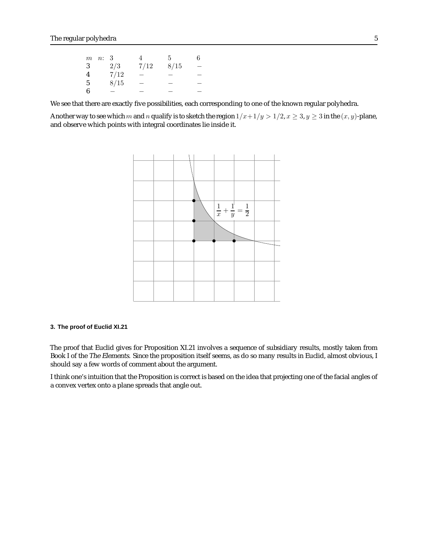|                | $m$ $n: 3$ |      | 4                        | 5    | 6 |
|----------------|------------|------|--------------------------|------|---|
| 3              |            | 2/3  | 7/12                     | 8/15 |   |
| $\overline{4}$ |            | 7/12 |                          |      |   |
| 5              |            | 8/15 | $\overline{\phantom{0}}$ |      |   |
| -6             |            |      |                          |      |   |

We see that there are exactly five possibilities, each corresponding to one of the known regular polyhedra.

Another way to see which m and n qualify is to sketch the region  $1/x+1/y > 1/2$ ,  $x \ge 3$ ,  $y \ge 3$  in the  $(x, y)$ -plane, and observe which points with integral coordinates lie inside it.



# **3. The proof of Euclid XI.21**

The proof that Euclid gives for Proposition XI.21 involves a sequence of subsidiary results, mostly taken from Book I of the The Elements. Since the proposition itself seems, as do so many results in Euclid, almost obvious, I should say a few words of comment about the argument.

I think one's intuition that the Proposition is correct is based on the idea that projecting one of the facial angles of a convex vertex onto a plane spreads that angle out.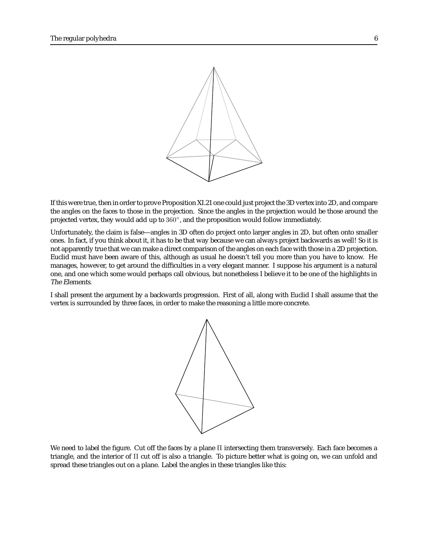

If this were true, then in order to prove Proposition XI.21 one could just project the 3D vertex into 2D, and compare the angles on the faces to those in the projection. Since the angles in the projection would be those around the projected vertex, they would add up to 360◦, and the proposition would follow immediately.

Unfortunately, the claim is false—angles in 3D often do project onto larger angles in 2D, but often onto smaller ones. In fact, if you think about it, it has to be that way because we can always project backwards as well! So it is not apparently true that we can make a direct comparison of the angles on each face with those in a 2D projection. Euclid must have been aware of this, although as usual he doesn't tell you more than you have to know. He manages, however, to get around the difficulties in a very elegant manner. I suppose his argument is a natural one, and one which some would perhaps call obvious, but nonetheless I believe it to be one of the highlights in The Elements.

I shall present the argument by a backwards progression. First of all, along with Euclid I shall assume that the vertex is surrounded by three faces, in order to make the reasoning a little more concrete.



We need to label the figure. Cut off the faces by a plane Π intersecting them transversely. Each face becomes a triangle, and the interior of Π cut off is also a triangle. To picture better what is going on, we can unfold and spread these triangles out on a plane. Label the angles in these triangles like this: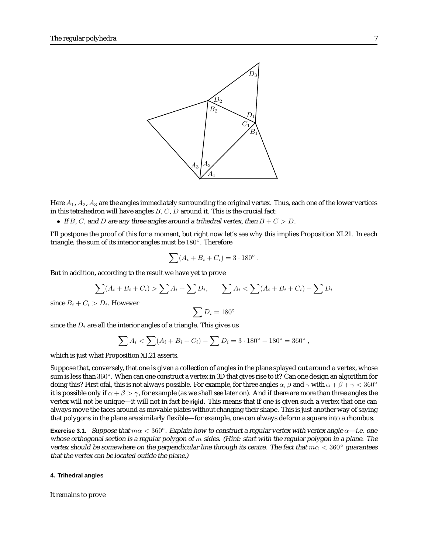

Here  $A_1$ ,  $A_2$ ,  $A_3$  are the angles immediately surrounding the original vertex. Thus, each one of the lower vertices in this tetrahedron will have angles  $B, C, D$  around it. This is the crucial fact:

• If B, C, and D are any three angles around a trihedral vertex, then  $B + C > D$ .

I'll postpone the proof of this for a moment, but right now let's see why this implies Proposition XI.21. In each triangle, the sum of its interior angles must be 180◦. Therefore

$$
\sum (A_i + B_i + C_i) = 3 \cdot 180^\circ.
$$

But in addition, according to the result we have yet to prove

$$
\sum (A_i + B_i + C_i) > \sum A_i + \sum D_i, \qquad \sum A_i < \sum (A_i + B_i + C_i) - \sum D_i
$$

since  $B_i + C_i > D_i$ . However

$$
\sum D_i = 180^\circ
$$

since the  $D_i$  are all the interior angles of a triangle. This gives us

$$
\sum A_i < \sum (A_i + B_i + C_i) - \sum D_i = 3 \cdot 180^\circ - 180^\circ = 360^\circ \,,
$$

which is just what Proposition XI.21 asserts.

Suppose that, conversely, that one is given a collection of angles in the plane splayed out around a vertex, whose sum is less than 360°. When can one construct a vertex in 3D that gives rise to it? Can one design an algorithm for doing this? First ofal, this is not always possible. For example, for three angles  $\alpha$ ,  $\beta$  and  $\gamma$  with  $\alpha + \beta + \gamma < 360^{\circ}$ it is possible only if  $\alpha + \beta > \gamma$ , for example (as we shall see later on). And if there are more than three angles the vertex will not be unique—it will not in fact be **rigid**. This means that if one is given such a vertex that one can always move the faces around as movable plates without changing their shape. This is just another way of saying that polygons in the plane are similarly flexible—for example, one can always deform a square into a rhombus.

**Exercise 3.1.** Suppose that  $m\alpha < 360^\circ$ . Explain how to construct a regular vertex with vertex angle  $\alpha$ —i.e. one whose orthogonal section is a regular polygon of  $m$  sides. (Hint: start with the regular polygon in a plane. The vertex should be somewhere on the perpendicular line through its centre. The fact that  $m\alpha < 360^\circ$  guarantees that the vertex can be located outide the plane.)

### **4. Trihedral angles**

It remains to prove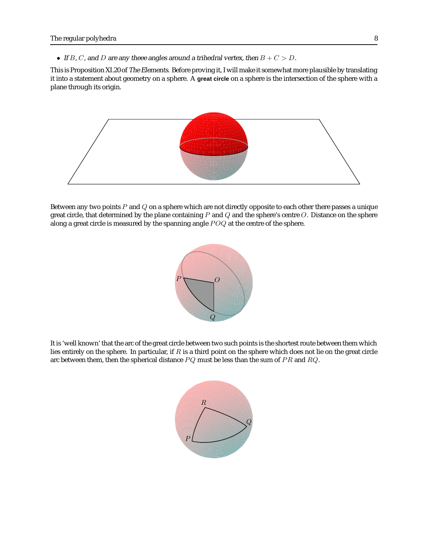• If B, C, and D are any theee angles around a trihedral vertex, then  $B + C > D$ .

This is Proposition XI.20 of The Elements. Before proving it, I will make it somewhat more plausible by translating it into a statement about geometry on a sphere. A **great circle** on a sphere is the intersection of the sphere with a plane through its origin.



Between any two points  $P$  and  $Q$  on a sphere which are not directly opposite to each other there passes a unique great circle, that determined by the plane containing  $P$  and  $Q$  and the sphere's centre  $O$ . Distance on the sphere along a great circle is measured by the spanning angle POQ at the centre of the sphere.



It is 'well known' that the arc of the great circle between two such points is the shortest route between them which lies entirely on the sphere. In particular, if  $R$  is a third point on the sphere which does not lie on the great circle arc between them, then the spherical distance  $PQ$  must be less than the sum of  $PR$  and  $RQ$ .

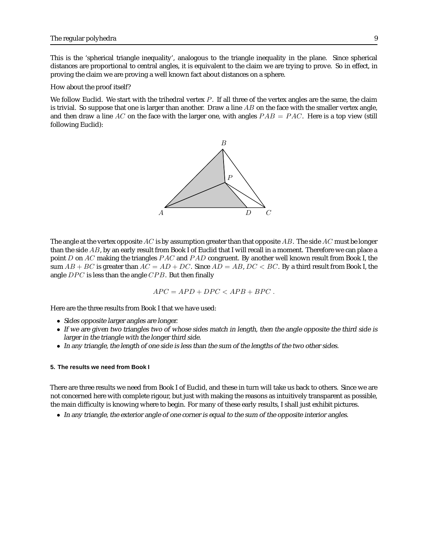This is the 'spherical triangle inequality', analogous to the triangle inequality in the plane. Since spherical distances are proportional to central angles, it is equivalent to the claim we are trying to prove. So in effect, in proving the claim we are proving a well known fact about distances on a sphere.

How about the proof itself?

We follow Euclid. We start with the trihedral vertex  $P$ . If all three of the vertex angles are the same, the claim is trivial. So suppose that one is larger than another. Draw a line  $AB$  on the face with the smaller vertex angle, and then draw a line AC on the face with the larger one, with angles  $PAB = PAC$ . Here is a top view (still following Euclid):



The angle at the vertex opposite AC is by assumption greater than that opposite AB. The side AC must be longer than the side AB, by an early result from Book I of Euclid that I will recall in a moment. Therefore we can place a point D on AC making the triangles  $PAC$  and  $PAD$  congruent. By another well known result from Book I, the sum  $AB + BC$  is greater than  $AC = AD + DC$ . Since  $AD = AB$ ,  $DC < BC$ . By a third result from Book I, the angle DPC is less than the angle CPB. But then finally

$$
APC = APD + DPC < APB + BPC.
$$

Here are the three results from Book I that we have used:

- Sides opposite larger angles are longer.
- If we are given two triangles two of whose sides match in length, then the angle opposite the third side is larger in the triangle with the longer third side.
- In any triangle, the length of one side is less than the sum of the lengths of the two other sides.

## **5. The results we need from Book I**

There are three results we need from Book I of Euclid, and these in turn will take us back to others. Since we are not concerned here with complete rigour, but just with making the reasons as intuitively transparent as possible, the main difficulty is knowing where to begin. For many of these early results, I shall just exhibit pictures.

• In any triangle, the exterior angle of one corner is equal to the sum of the opposite interior angles.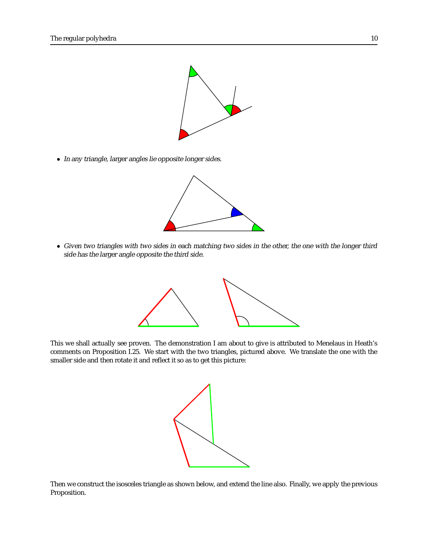

• In any triangle, larger angles lie opposite longer sides.



• Given two triangles with two sides in each matching two sides in the other, the one with the longer third side has the larger angle opposite the third side.



This we shall actually see proven. The demonstration I am about to give is attributed to Menelaus in Heath's comments on Proposition I.25. We start with the two triangles, pictured above. We translate the one with the smaller side and then rotate it and reflect it so as to get this picture:



Then we construct the isosceles triangle as shown below, and extend the line also. Finally, we apply the previous Proposition.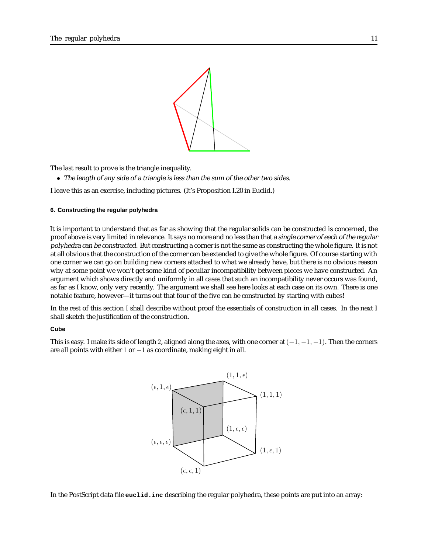

The last result to prove is the triangle inequality.

• The length of any side of <sup>a</sup> triangle is less than the sum of the other two sides.

I leave this as an exercise, including pictures. (It's Proposition I.20 in Euclid.)

#### **6. Constructing the regular polyhedra**

It is important to understand that as far as showing that the regular solids can be constructed is concerned, the proof above is very limited in relevance. It says no more and no less than that a single corner of each of the regular polyhedra can be constructed. But constructing a corner is not the same as constructing the whole figure. It is not at all obvious that the construction of the corner can be extended to give the whole figure. Of course starting with one corner we can go on building new corners attached to what we already have, but there is no obvious reason why at some point we won't get some kind of peculiar incompatibility between pieces we have constructed. An argument which shows directly and uniformly in all cases that such an incompatibility never occurs was found, as far as I know, only very recently. The argument we shall see here looks at each case on its own. There is one notable feature, however—it turns out that four of the five can be constructed by starting with cubes!

In the rest of this section I shall describe without proof the essentials of construction in all cases. In the next I shall sketch the justification of the construction.

# **Cube**

This is easy. I make its side of length 2, aligned along the axes, with one corner at  $(-1, -1, -1)$ . Then the corners are all points with either 1 or  $-1$  as coordinate, making eight in all.



In the PostScript data file **euclid.inc** describing the regular polyhedra, these points are put into an array: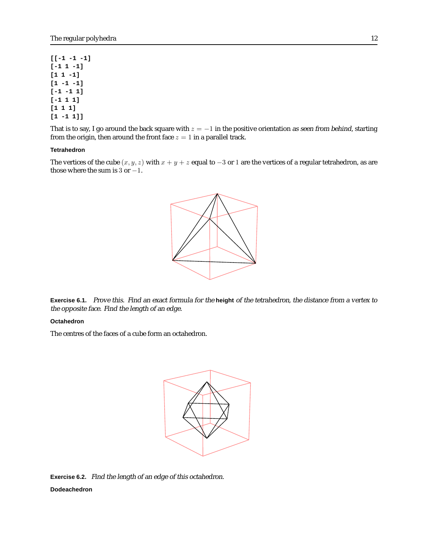**[[-1 -1 -1] [-1 1 -1] [1 1 -1] [1 -1 -1] [-1 -1 1] [-1 1 1] [1 1 1] [1 -1 1]]**

That is to say, I go around the back square with  $z = -1$  in the positive orientation as seen from behind, starting from the origin, then around the front face  $z = 1$  in a parallel track.

# **Tetrahedron**

The vertices of the cube  $(x, y, z)$  with  $x + y + z$  equal to  $-3$  or 1 are the vertices of a regular tetrahedron, as are those where the sum is  $3$  or  $-1$ .



**Exercise 6.1.** Prove this. Find an exact formula for the **height** of the tetrahedron, the distance from <sup>a</sup> vertex to the opposite face. Find the length of an edge.

### **Octahedron**

The centres of the faces of a cube form an octahedron.



**Exercise 6.2.** Find the length of an edge of this octahedron. **Dodeachedron**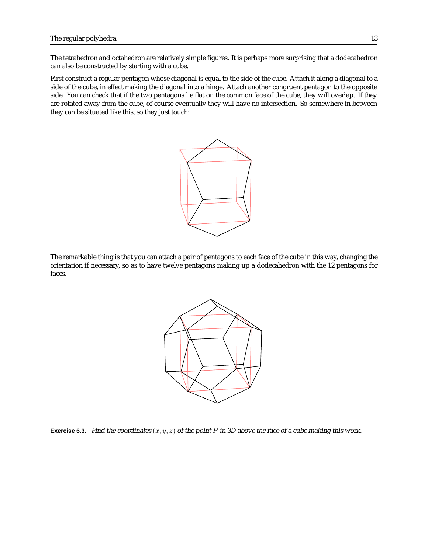The tetrahedron and octahedron are relatively simple figures. It is perhaps more surprising that a dodecahedron can also be constructed by starting with a cube.

First construct a regular pentagon whose diagonal is equal to the side of the cube. Attach it along a diagonal to a side of the cube, in effect making the diagonal into a hinge. Attach another congruent pentagon to the opposite side. You can check that if the two pentagons lie flat on the common face of the cube, they will overlap. If they are rotated away from the cube, of course eventually they will have no intersection. So somewhere in between they can be situated like this, so they just touch:



The remarkable thing is that you can attach a pair of pentagons to each face of the cube in this way, changing the orientation if necessary, so as to have twelve pentagons making up a dodecahedron with the 12 pentagons for faces.



**Exercise 6.3.** Find the coordinates  $(x, y, z)$  of the point P in 3D above the face of a cube making this work.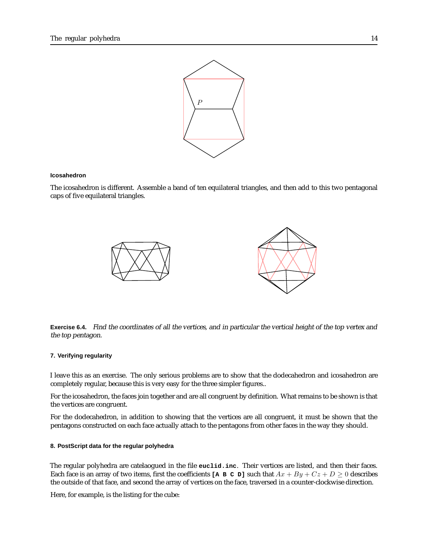

#### **Icosahedron**

The icosahedron is different. Assemble a band of ten equilateral triangles, and then add to this two pentagonal caps of five equilateral triangles.



**Exercise 6.4.** Find the coordinates of all the vertices, and in particular the vertical height of the top vertex and the top pentagon.

# **7. Verifying regularity**

I leave this as an exercise. The only serious problems are to show that the dodecahedron and icosahedron are completely regular, because this is very easy for the three simpler figures..

For the icosahedron, the faces join together and are all congruent by definition. What remains to be shown is that the vertices are congruent.

For the dodecahedron, in addition to showing that the vertices are all congruent, it must be shown that the pentagons constructed on each face actually attach to the pentagons from other faces in the way they should.

#### **8. PostScript data for the regular polyhedra**

The regular polyhedra are catelaogued in the file **euclid.inc**. Their vertices are listed, and then their faces. Each face is an array of two items, first the coefficients **[A B C D]** such that  $Ax + By + Cz + D \ge 0$  describes the outside of that face, and second the array of vertices on the face, traversed in a counter-clockwise direction.

Here, for example, is the listing for the cube: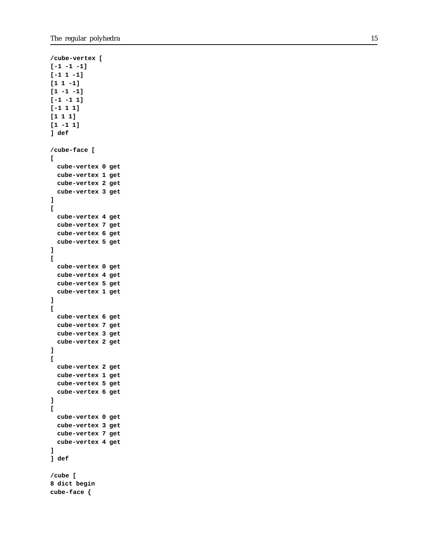```
/cube-vertex [
[-1 -1 -1]
[-1 1 -1]
[1 1 -1]
[1 -1 -1]
[-1 -1 1]
[-1 1 1]
[1 1 1]
[1 -1 1]
] def
/cube-face [ [
 cube-vertex 0 get
 cube-vertex 1 get
 cube-vertex 2 get
 cube-vertex 3 get
][
  cube-vertex 4 get
 cube-vertex 7 get
 cube-vertex 6 get
 cube-vertex 5 get
][
 cube-vertex 0 get
 cube-vertex 4 get
 cube-vertex 5 get
 cube-vertex 1 get
][
 cube-vertex 6 get
 cube-vertex 7 get
 cube-vertex 3 get
 cube-vertex 2 get
][
 cube-vertex 2 get
 cube-vertex 1 get
 cube-vertex 5 get
 cube-vertex 6 get
][
 cube-vertex 0 get
 cube-vertex 3 get
 cube-vertex 7 get
 cube-vertex 4 get
]
] def
/cube [
8 dict begin
cube-face {
```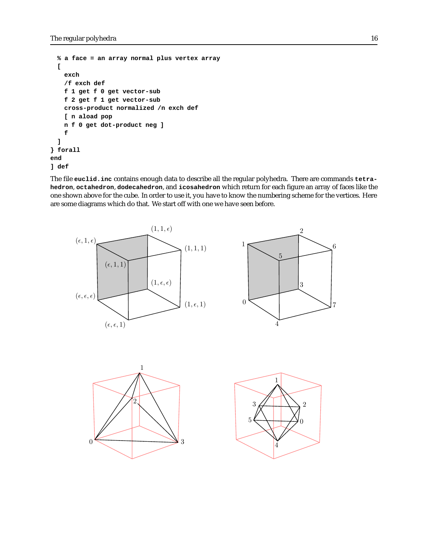```
% a face = an array normal plus vertex array
 [
   exch
   /f exch def
   f 1 get f 0 get vector-sub
   f 2 get f 1 get vector-sub
   cross-product normalized /n exch def
   [ n aload pop
   n f 0 get dot-product neg ]
   f
 ]
} forall
end
] def
```
The file **euclid.inc** contains enough data to describe all the regular polyhedra. There are commands **tetrahedron**, **octahedron**, **dodecahedron**, and **icosahedron** which return for each figure an array of faces like the one shown above for the cube. In order to use it, you have to know the numbering scheme for the vertices. Here are some diagrams which do that. We start off with one we have seen before.